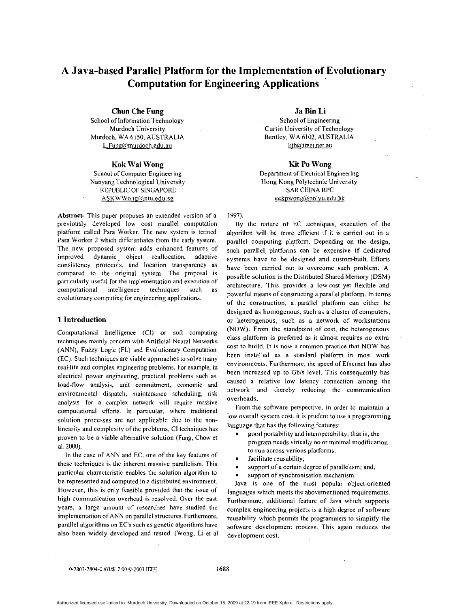# **A Java-based Parallel Platform for the Implementation of Evolutionary Computation for Engineering Applications**

**Chun Che Fug** 

School of Information Technology Murdoch University Murdoch, WA 6150, AUSTRALIA L.Fune@murdoch.edu.au

## **Kok Wai Wong**  School of Computer Engineering Nanyang Technological University

REPUBLIC OF SINGAPORE *ASKW\Voneiiintu.edu.sg.* 

**Abstract-** This paper proposes an extended version of a previously developed low cost parallel computation platform called Para Worker. The new system is termed Para Worker *2* which differentiates from the early system. The new proposed system adds enhanced features of improved dynamic, object reallocation, adaptive consistency protocols, and location transparency as compared to the original system. The proposal is particularly useful for the implementation and execution of computational intelligence techniques such as evolutionary computing for engineering applications.

### **1 Introduction**

Computational Intelligence (CI) or soft computing techniques mainly concern with Artificial Neural Networks **(ANN),** Fuzzy Logic (FL) and Evolutionary Computation (EC). Such techniques are viable approaches to solve many real-life and complex engineering problems. For example, in electrical power engineering, practical problems such as load-flow analysis, unit commitment, economic and environmental dispatch, maintenance scheduling, risk analysis for a complex network will require massive computational efforts. In particular, where traditional solution processes are not applicable due to the nonlinearity and complexity of the problems, CI techniques has proven to be a viable alternative solution (Fung, Chow et **al.** 2000).

In the case of ANN and EC, one of the key features of these techniques is the inherent massive parallelism. This particular characteristic enables the solution algorithm to be represented and computed in a distributed environment. However, this is only feasible provided that the issue of high communication overhead is resolved. Over the past years, a large amount of researches have studied the implementation of ANN on parallel structures. Furthermore, parallel algorithms on EC's such as genetic algorithms have also been widely developed and tested (Wong, Li et al

## **Ja Bin Li**

School of Engineering Curtin University of Technology Bentley, WA **6102,** AUSTRALIA liib@iiinet.net.ag

**Kit Po Wong**  Department of Electrical Engineering Hong Kong Polytechnic University SAR CHINA RPC eekpwong@polyu.edu.hk

**1997).** 

By the nature of EC techniques, execution of the algorithm **will** be more efficient if it is carried out in a parallel computing platform. Depending on the design, such parallel. platforms can be expensive if dedicated systems have to be designed and custombuilt. Efforts have been carried out to overcome such problem. **A**  possible solution is the Distributed Shared Memory (DSM) architecture. This provides a lowcost yet flexible and powerful means of constructing a parallel platform. In terms of the construction, a parallel platform can either be designed **as** homogenous, such as a cluster of computers, or heterogenous, such as a network of workstations (NOW). From the standpoint of cost, the heterogenous class platform **is** preferred as it almost requires no' extra cost to build. It is now a common practice that NOW has been installed as a standard platform in most work environments. Furthermore, the speed of Ethernet has also been increased up to Gb/s level. This consequently has caused a relative low latency connection among the network and thereby reducing the communication overheads.

From the software perspective, in order to maintain a low overall system cost, it is prudent to use a programming language that has the following features:

- good portability and interoperability, that is, the program needs virtually no or minimal modification to run across various platforms:
- facilitate reusability;
- support of a certain degree of parallelism; and,
- . support of synchronisation mechanism.

Java is one of the most popular object-oriented languages which meets the abovementioned requirements. Furthermore, additional feature of Java which supports complex engineering projects is a high degree of software reusability which permits the programmers to simplify the software development process. This again reduces the development cost.

Authorized licensed use limited to: Murdoch University. Downloaded on October 15, 2009 at 22:19 from IEEE Xplore. Restrictions apply.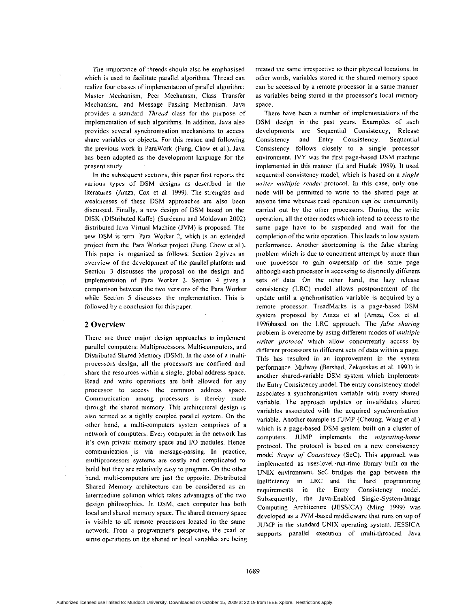The importance of threads should also be emphasised which is used to facilitate parallel algorithms. Thread can realize four classes of implementation of parallel algorithm: Master Mechanism, Peer Mechanism, Class Transfer Mechanism, and Message Passing Mechanism. Java provides a standard *Thread* class for the purpose of implementation of such algorithms. In addition, Java also provides several synchronisation mechanisms to access share variables or objects. For this reason and following the previous work in ParaWork (Fung, Chow et al.), Java has been adopted as the development language for the present study.

In the subsequent sections, this paper first reports the various types of DSM designs as described in the literatures (Amza, Cox et al. 1999). The strengths and weaknesses of these DSM approaches are also been discussed. Finally, a new design of DSM based on the DISK (DIStrihuted Kaffe) (Surdeanu and Moldovan 2002) distributed Java Virtual Machine (JVM) is proposed. The new DSM is term Para Worker 2, which is an extended project from the Para Worker project (Fung. Chow et al.). This paper is organised as follows: Section 2gives an overview of the development of the parallel platform and Section 3 discusses the proposal on the design and implementation of Para Worker **2.** Section **4** gives a comparison between the two versions of the Para Worker while Section 5 discusses the implementation. This is followed by a conclusion for this paper.

## **2 Overview**

There are three major design approaches **b** implement parallel computers: Multiprocessors, Multi-computers, and Distributed Shared Memory (DSM). In the case of a multiprocessors design, all the processors are confined and share the resources within a single, global address space. Read and write operations are both allowed for any processor to access the common address space. Communication among processors is thereby made through the shared memory. This architectural design is also termed as a tightly coupled parallel system. On the other hand. a multi-computers system comprises of a network of computers. Every computer in the network has it's own private memory space and I/O modules. Hence communication is via message-passing. In practice, multiprocessors systems arc costly and complicated to build but they are relatively easy to program. On the other hand, multi-computers are just the opposite. Distributed Shared Memory architecture can be considered as an intermediate solution which takes advantages of the two design philosophies. In DSM, each computer has both local and shared memory space. The shared memory space is visible to all remote processors located in the same network. From a programmer's perspective, the read or write operations on the shared or local variables are being treated the same irrespective to their physical locations. In other words, variables stored in the shared memory space can be accessed by a remote processor in a same manner as variables being stored in the processor's local memory space.

There have been a number of implementations of the DSM design in the past years. Examples of such developments are Sequential Consistency, Release Consistency and Entry Consistency. Sequential Consistency follows closely to a single processor environment. **IVY** was the first page-based DSM machine implemented in this manner (Li and Hudak 1989). It used sequential consistency model, which is based on a *single wrirer multiple reader* protocol. In this case, only one node will be permitted to write to the shared page at anyone time whereas read operation can be concurrently carried out by the other processors. During the write operation, all the other nodes which intend to access to the same page have to he suspended and wait for the completion of the write operation. This leads to low system performance. Another shortcoming is the false sharing problem which is due to concurrent attempt by more than one processor to gain ownership of the same page although each processor is accessing to distinctly different sets of data. On the other hand, the lazy release consistency (LRC) model allows postponement of the update until a synchronisation variable is acquired by a remote processor. TreadMarks is a page-based DSM system proposed by Amza et al (Amza, Cox et al. 1996)based on the LRC approach. The *false sharing*  problem *is* overcome by using different modes *of multiple writer protocol* which allow concurrently access by different processors to different sets of data within a page. This has resulted in an improvement in the system performance. Midway (Bershad, Zekauskas et al. 1993) is another shared-variable DSM system which implements the Entry Consistency model. The entry consistency model associates a synchronisation variable with every shared variable. The approach updates or invalidates shared variables associated with the acquired synchronisation variable. Another example is JUMP (Cheung, Wang et al.) which **is** a page-based DSM system built on a cluster of computers. JUMP implements the *migrating-home* protocol. The protocol is based on a **new** consistency model *Scope* of *Consistency* (ScC). This approach was implemented as user-level run-time library built on the UNlX environment. ScC bridges the gap between the inefficiency in LRC and the hard programming requirements in the Entry Consistency model. Subsequently, the Java-Enahled Single-System-Image Computing Architecture (JESSICA) (Ming 1999) was developed as a JVM-based middleware that **runs** on top of JUMP in the standard UNlX operating system. JESSICA supports parallel execution of multi-threaded Java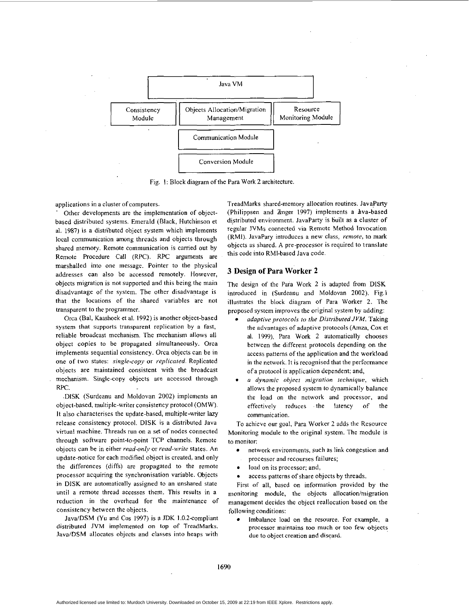

Fig. 1: Block diagram of the Para Work 2 architecture

applications in a cluster of computers.<br>
Other developments are the implementation of objectbased distributed systems. Emerald (Black, Hutchinson et al. 1987) is a distributed object system which implements local communication among threads and objects through shared memory. Remote communication is carried out by Remote Procedure Call (RPC). RPC arguments are marshalled into one message. Pointer to the physical addresses can also be accessed remotely. However, objects migration is not supported and this being the main disadvantage of the system. The other disadvantage is that the locations of the shared variables are not transparent to the programmer.

Orca (Bal, Kaashoek et al. 1992) is another object-based system that supports transparent replication by a fast, reliable broadcast mechanism. The mechanism allows all object copies to be propagated simultaneously. Orca implements sequential consistency. Orca objects can be in one of two states: *single-copy* or *replicated.* Replicated objects are maintained consistent with the broadcast mechanism. Single-opy objects are accessed through RPC.

.DISK (Surdeanu and Moldovan 2002) implements an object-based, multiple-writer consistency protocol (OM W). It also characterises the update-based, multiple-writer **lazy**  release consistency protocol. DISK is a distributed Java virtual machine. Threads run on a set of nodes connected through software point-to-point TCP channels. Remote objects can be in either *read-un1.v* or *read-write* states. An update-notice for each modified object is created. and only the differences (diffs) are propagated to the remote processor acquiring the synchronisation variable. objects in DISK are automatically assigned to an unshared state until a remote thread accesses them. This results in a reduction in the overhead for the maintenance of consistency between the objects.

Java/DSM (Yu and Cos 1997) is a JDK 1.0.2-compliant distributed JVM implemented on top of TreadMarks. Java/DSM allocates objects and classes into heaps with

TreadMarks shared-memory allocation routines. JavaParty (Philippsen and Zenger 1997) implements a hva-based distributed environment. JavaParty is hilt as a cluster of regular JVMs connected via Remote Method Invocation (RMI). JavaPary introduces a new class, *remote,* to mark objects as shared. A pre-processor is required to translate this code into RMI-based Java code.

## **3 Design of Para Worker 2**

The design of the Para Work 2 is adapted from DISK introduced in (Surdeanu and Moldovan 2002). Fig.1 illustrates the block diagram of Para Worker 2. The proposed system improves the original system by adding:

- *adaptive protocols to the Distributed JVM.* Taking the advantages of adaptive protocols **(Amza, Cox** et al. 1999). Para Work 2 automatically chooses between the different protocols depending on the access patterns of the application and the workload in the network. It is recognised that the performance of a protocol is application dependent; and,
- *a dynamic object migration technique,* which allows the proposed system to dynamically balance the load on the network and processor, and effectively reduces 'the latency of the communication.

To achieve our goal, Para Worker 2 adds the Resource Monitoring module to the original system. The module is to monitor:

- network environments, such as link congestion and
- processor and recourses failures;
- load on its processor; and,
- access patterns of share objects by threads.

First of all, based on information provided by the monitoring module, the objects allocation/migration management decides the object reallocation based on the following conditions:

Imbalance load on the resource. For example, a processor maintains too much or too few objects due to object creation and discard.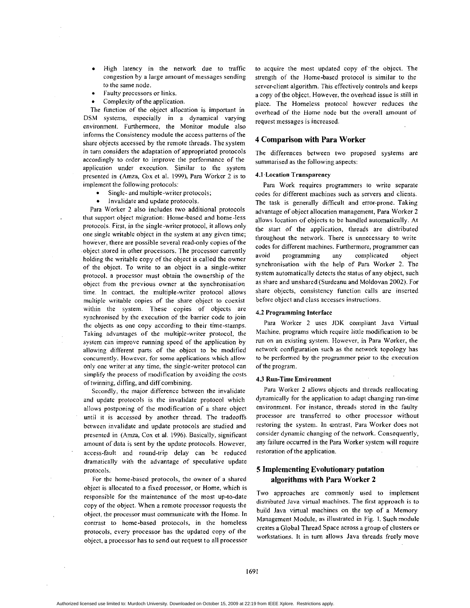- High latency in the network due to traffic congestion by a large amount of messages sending to the same node.
- Faulty processors or links.
- Complexity of the application.

The function of the object allocation is important in DSM systems, especially in a dynamical varying environment. Furthermore, the Monitor module also informs the Consistency module the access patterns of the share objects accessed by the remote threads. The system in turn considers the adaptation of appropriated protocols accordingly to order to improve the performance of the application under execution. Similar to the system presented in (Amza, Cox et al. 1999), Para Worker 2 is to implement the following protocols:

- Single- and multiple-writer protocols;
- Invalidate and update protocols.

Para Worker **2** also includes two additional protocols that support object migration: Home-based and home-less protocols. First, in the single-writer protocol, it allows only one single writable object in the system at any given time; however, there are possible several read-only copies of the .object stored in other processors. The processor currently holding the writable copy of the object is called the owner of the object. To write to an object in a single-writer protocol. a processor must obtain the ownership of the object from the previous owner at the synchronisation time. In contract, the multiple-writer protocol allows multiple writable copies of the share object to coexist within the system. These copies of objects are synchronised by the execution of the barrier code to join the objects as one copy according to their time-stamps. Taking advantages of the multiple-writer protocol, the system can improve running speed of the application by allowing different parts of the object to be modified concurrently. However. for some applications which allow only one writer at any time, the single-writer protocol can simplify the process of modification by avoiding the costs of twinning, diffing, and diff combining.

Secondly, the major difference between the invalidate and update protocols is the invalidate protocol which allows postponing of the modification of a share object until it is accessed by another thread. The tradeoffs between invalidate and update protocols are studied and presented in (Amza, Cox et al. 1996). Basically, significant amount of data is sent by the update protocols. However, access-fault and round-trip delay can be reduced dramatically with the advantage of speculative update protocols.

For the home-based protocols, the owner of a shared object is allocated to a fixed processor, or Home, which is responsible for the maintenance of the most up-to-date copy of the object. When a remote processor requests the object, the processor must communicate with the Home. In contrast to home-based protocols, in the homeless protocols, every processor has the updated copy of the object, a processor has to send out request to all processor to acquire the most updated copy of-the object. The strength of the Home-based protocol is similar to the server-client algorithm. This effectively controls and keeps a copy of the object. However, the overhead issue is still in place. The Homeless protocol however reduces the overhead of the Home node but the overall amount of request messages is increased.

#### **4 Comparison with Para Worker**

The differences between two proposed systems are summarised as the following aspects:

#### **4.1** .Location Transparency

Para Work requires programmers to write separate codes for different machines such as servers and clients. The task is generally difficult and error-prone. Taking advantage of object allocation management, Para Worker 2 allows location of objects to be handled automatically. At the start of the application, threads are distributed throughout the network. There is unnecessary to write codes for different machines. Furthermore, programmer can avoid programming any complicated object synchronisation with the help of Para Worker 2. The system automatically detects the status of any object, such as share and unshared (Surdeanu and Moldovan 2002). For share objects, consistency function calls are inserted before object and class accesses instructions.

#### **4.2** Programming Interface

Para Worker 2 uses JDK compliant Java Virtual Machine, programs which require little modification to be run on an existing system. However. in Para Worker, the network configuration such as the network topology has to be performed by the programmer prior to the execution of the program.

#### **43** Run-Time Environment

Para Worker 2 allows objects and threads reallocating dynamically for the application to adapt changing run-time environment. For instance, threads stored in the faulty processor are transferred to other processor without restoring the system. In contrast, Para Worker does not consider dynamic changing of the network. Consequently, any failure occurred in the Para Worker system will require restoration of the application.

## **5 Implementing Evolutionary putation algorithms with Para Worker 2**

Two approaches are commonly used to implement distributed Java virtual machines. The first approach is to build Java virtual machines on the top of a Memory Management Module, as illustrated in Fig. **1.** Such module creates a Global Thread Space across a group *of* clusters or workstations. It in turn allows Java threads freely move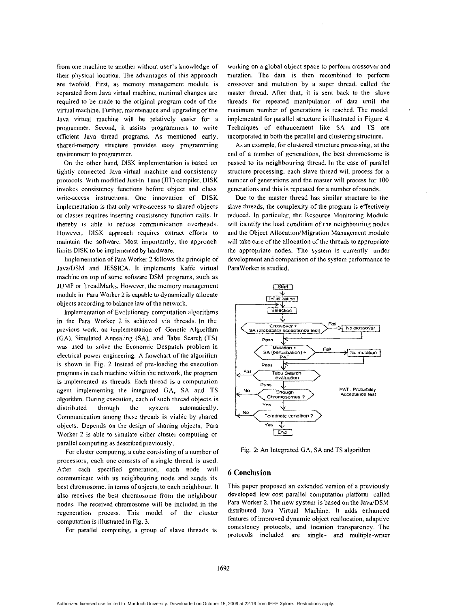from one machine to another without user's knowledge of their physical location. The advantages of this approach are twofold. First, as memory management module is separated from Java virtual machine, minimal changes are required to be made to the original program code of the virtual machine. Further, maintenance and upgrading of the Java virtual machine will be relatively easier for a programmer. Second, it assists programmers to write efficient Java thread programs. As mentioned early, shared-memory structure provides easy programming environment to programmer.

On the other hand, DISK implementation is based on tightly connected Java virtual machine and consistency protocols. With modified Just-In-Time (JIT) compiler, DISK invokes consistency functions before object and class write-access instructions. One innovation of DISK implementation is that only write-access to shared objects or classes requires inserting consistency function calls. It thereby is able to reduce communication overheads. However, DISK approach requires extract efforts to maintain the software. Most importantly, the approach limits DISK to be implemented by hardware.

Implementation of Para Worker 2 follows the principle of JavdDSM and JESSICA. It implements Kaffe virtual machine on top of some software DSM programs, such as JUMP or TreadMarks. However, the memory management module in Para Worker 2 is capable to dynamically allocate objects according to balance law of the network.

Implementation of Evolutionary computation algorithms in the Para Worker 2 is achieved via threads. In the previous work, an implementation of Genetic Algorithm (CA), Simulated Annealing (SA), and Tabu Search (TS) was used to solve the Economic Despatch problem in electrical power engineering. A flowchart of the algorithm is shown in Fig. 2 Instead of pre-loading the execution  $\sqrt{P_{\text{BSS}}}$ programs in each machine within the network, the program is implemented as threads. Each thread is a computation agent implementing the integrated **GA,** SA and TS algorithm. During execution, each of such thread objects is distributed through the system automatically. Communication among these threads **is** viable by shared objects. Depends on the design of sharing objects, Para Worker 2 is able to simulate either cluster computing or parallel computing as described previously.

For cluster computing, a cube consisting of a number of processors, each one consists of a single thread, is used. After each specified generation, each node will communicate with its neighbouring node and sends its best chromosome, in terms of objects, to each neighbour. It also receives the best chromosome from the neighbour nodes. The received chromosome will be included in the regeneration process. This model of the cluster computation is illustrated in Fig. 3.

For parallel computing, a group of slave threads is

working on a global object space to perfom crossover and mutation. The data is then recombined to perfom crossover and mutation by a super thread, called the master thread. After that, it is sent back to the slave threads for repeated manipulation of data until the maximum number of generations is reached. The model implemented for parallel stmcture is illustrated in [Figure](#page-5-0) **4.**  Techniques of enhancement like **SA** and TS are incorporated in both the parallel and clustering structure.

As an example, for clustered structure processing, at the end of a number of generations, the best chromosome is passed to its neighbouring thread. In the case of parallel structure processing, each slave thread will process for a number ofgenerations and the master will process for **100**  generations and this is repeated for a number ofrounds.

Due to the master thread has similar structure io the slave threads, the complexity of the program is effectively reduced. In particular, the Resource Monitoring Module will identify the load condition of the neighbouring nodes and the Object Allocation/Migration Management module will take care of the allocation of the threads to appropriate the appropriate nodes. The system is currently under development and comparison of the system performance to ParaWorker is studied.



Fig. **2:** An Integrated **GA,** SA and TS algorithm

#### *6* **Conclusion**

This paper proposed an extended version of a previously developed low cost parallel computation platform called Para Worker 2. The new system is based on the Java/DSM distributed Java Virtual Machine. It adds enhanced features of improved dynamic object reallocation, adaptive consistency protocols, and location transparency. The protocols included are single- and multiple-writer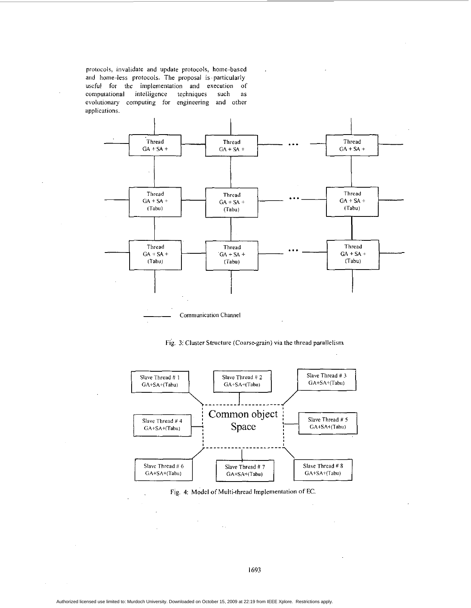<span id="page-5-0"></span>protocols, invalidate and update protocols, home-based and home-less protocols. The proposal **is** .particularly uscful for the implementation and execution of computational intelligence techniques such as evolutionary computing for engineering and other applications.



.







1693